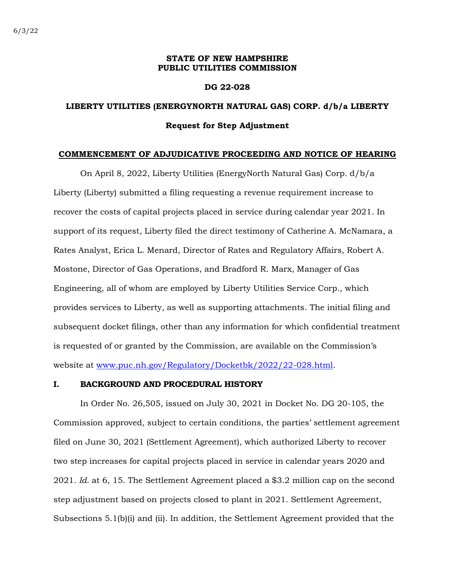### **STATE OF NEW HAMPSHIRE PUBLIC UTILITIES COMMISSION**

#### **DG 22-028**

## **LIBERTY UTILITIES (ENERGYNORTH NATURAL GAS) CORP. d/b/a LIBERTY Request for Step Adjustment**

#### **COMMENCEMENT OF ADJUDICATIVE PROCEEDING AND NOTICE OF HEARING**

On April 8, 2022, Liberty Utilities (EnergyNorth Natural Gas) Corp. d/b/a Liberty (Liberty) submitted a filing requesting a revenue requirement increase to recover the costs of capital projects placed in service during calendar year 2021. In support of its request, Liberty filed the direct testimony of Catherine A. McNamara, a Rates Analyst, Erica L. Menard, Director of Rates and Regulatory Affairs, Robert A. Mostone, Director of Gas Operations, and Bradford R. Marx, Manager of Gas Engineering, all of whom are employed by Liberty Utilities Service Corp., which provides services to Liberty, as well as supporting attachments. The initial filing and subsequent docket filings, other than any information for which confidential treatment is requested of or granted by the Commission, are available on the Commission's website at [www.puc.nh.gov/Regulatory/Docketbk/2022/22-028.html.](http://www.puc.nh.gov/Regulatory/Docketbk/2022/22-028.html)

### **I. BACKGROUND AND PROCEDURAL HISTORY**

In Order No. 26,505, issued on July 30, 2021 in Docket No. DG 20-105, the Commission approved, subject to certain conditions, the parties' settlement agreement filed on June 30, 2021 (Settlement Agreement), which authorized Liberty to recover two step increases for capital projects placed in service in calendar years 2020 and 2021. *Id.* at 6, 15. The Settlement Agreement placed a \$3.2 million cap on the second step adjustment based on projects closed to plant in 2021. Settlement Agreement, Subsections 5.1(b)(i) and (ii). In addition, the Settlement Agreement provided that the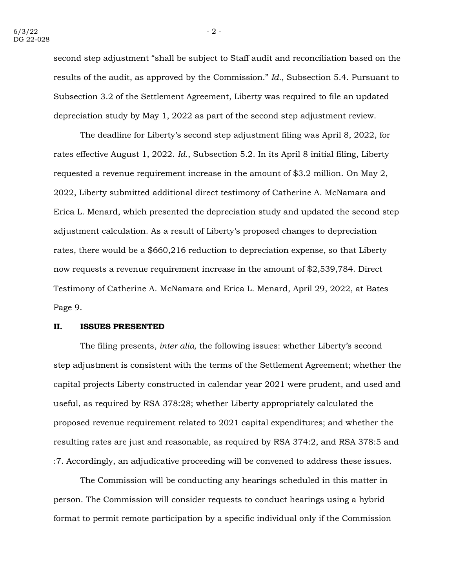second step adjustment "shall be subject to Staff audit and reconciliation based on the results of the audit, as approved by the Commission." *Id.*, Subsection 5.4. Pursuant to Subsection 3.2 of the Settlement Agreement, Liberty was required to file an updated depreciation study by May 1, 2022 as part of the second step adjustment review.

The deadline for Liberty's second step adjustment filing was April 8, 2022, for rates effective August 1, 2022. *Id.*, Subsection 5.2. In its April 8 initial filing, Liberty requested a revenue requirement increase in the amount of \$3.2 million. On May 2, 2022, Liberty submitted additional direct testimony of Catherine A. McNamara and Erica L. Menard, which presented the depreciation study and updated the second step adjustment calculation. As a result of Liberty's proposed changes to depreciation rates, there would be a \$660,216 reduction to depreciation expense, so that Liberty now requests a revenue requirement increase in the amount of \$2,539,784. Direct Testimony of Catherine A. McNamara and Erica L. Menard, April 29, 2022, at Bates Page 9.

#### **II. ISSUES PRESENTED**

The filing presents, *inter alia,* the following issues: whether Liberty's second step adjustment is consistent with the terms of the Settlement Agreement; whether the capital projects Liberty constructed in calendar year 2021 were prudent, and used and useful, as required by RSA 378:28; whether Liberty appropriately calculated the proposed revenue requirement related to 2021 capital expenditures; and whether the resulting rates are just and reasonable, as required by RSA 374:2, and RSA 378:5 and :7. Accordingly, an adjudicative proceeding will be convened to address these issues.

The Commission will be conducting any hearings scheduled in this matter in person. The Commission will consider requests to conduct hearings using a hybrid format to permit remote participation by a specific individual only if the Commission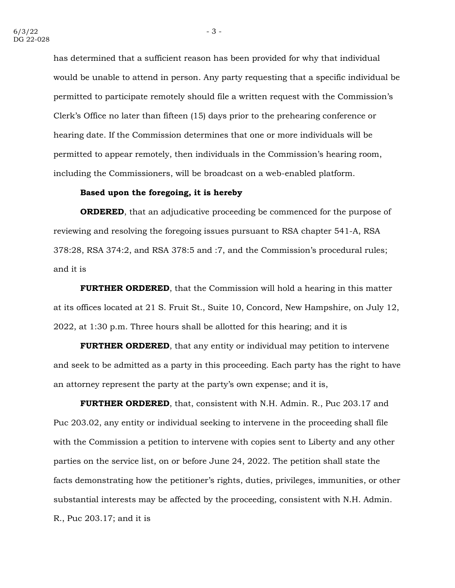has determined that a sufficient reason has been provided for why that individual would be unable to attend in person. Any party requesting that a specific individual be permitted to participate remotely should file a written request with the Commission's Clerk's Office no later than fifteen (15) days prior to the prehearing conference or hearing date. If the Commission determines that one or more individuals will be permitted to appear remotely, then individuals in the Commission's hearing room, including the Commissioners, will be broadcast on a web-enabled platform.

### **Based upon the foregoing, it is hereby**

**ORDERED**, that an adjudicative proceeding be commenced for the purpose of reviewing and resolving the foregoing issues pursuant to RSA chapter 541-A, RSA 378:28, RSA 374:2, and RSA 378:5 and :7, and the Commission's procedural rules; and it is

**FURTHER ORDERED**, that the Commission will hold a hearing in this matter at its offices located at 21 S. Fruit St., Suite 10, Concord, New Hampshire, on July 12, 2022, at 1:30 p.m. Three hours shall be allotted for this hearing; and it is

**FURTHER ORDERED**, that any entity or individual may petition to intervene and seek to be admitted as a party in this proceeding. Each party has the right to have an attorney represent the party at the party's own expense; and it is,

**FURTHER ORDERED**, that, consistent with N.H. Admin. R., Puc 203.17 and Puc 203.02, any entity or individual seeking to intervene in the proceeding shall file with the Commission a petition to intervene with copies sent to Liberty and any other parties on the service list, on or before June 24, 2022. The petition shall state the facts demonstrating how the petitioner's rights, duties, privileges, immunities, or other substantial interests may be affected by the proceeding, consistent with N.H. Admin. R., Puc 203.17; and it is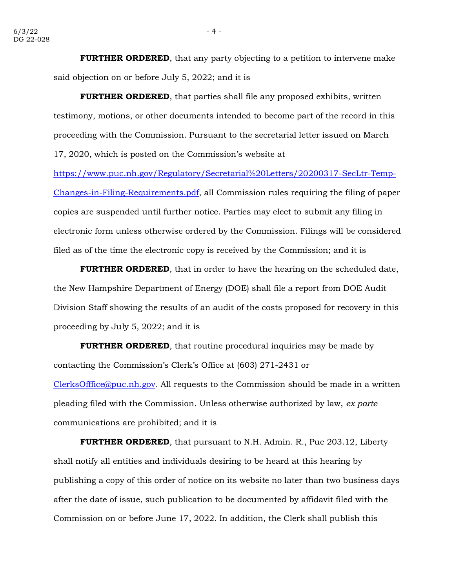**FURTHER ORDERED**, that any party objecting to a petition to intervene make said objection on or before July 5, 2022; and it is

**FURTHER ORDERED**, that parties shall file any proposed exhibits, written testimony, motions, or other documents intended to become part of the record in this proceeding with the Commission. Pursuant to the secretarial letter issued on March 17, 2020, which is posted on the Commission's website at

[https://www.puc.nh.gov/Regulatory/Secretarial%20Letters/20200317-SecLtr-Temp-](https://www.puc.nh.gov/Regulatory/Secretarial%20Letters/20200317-SecLtr-Temp-Changes-in-Filing-Requirements.pdf)[Changes-in-Filing-Requirements.pdf,](https://www.puc.nh.gov/Regulatory/Secretarial%20Letters/20200317-SecLtr-Temp-Changes-in-Filing-Requirements.pdf) all Commission rules requiring the filing of paper copies are suspended until further notice. Parties may elect to submit any filing in electronic form unless otherwise ordered by the Commission. Filings will be considered filed as of the time the electronic copy is received by the Commission; and it is

**FURTHER ORDERED**, that in order to have the hearing on the scheduled date, the New Hampshire Department of Energy (DOE) shall file a report from DOE Audit Division Staff showing the results of an audit of the costs proposed for recovery in this proceeding by July 5, 2022; and it is

**FURTHER ORDERED**, that routine procedural inquiries may be made by contacting the Commission's Clerk's Office at (603) 271-2431 or [ClerksOfffice@puc.nh.gov.](mailto:ClerksOfffice@puc.nh.gov) All requests to the Commission should be made in a written pleading filed with the Commission. Unless otherwise authorized by law, *ex parte* communications are prohibited; and it is

**FURTHER ORDERED**, that pursuant to N.H. Admin. R., Puc 203.12, Liberty shall notify all entities and individuals desiring to be heard at this hearing by publishing a copy of this order of notice on its website no later than two business days after the date of issue, such publication to be documented by affidavit filed with the Commission on or before June 17, 2022. In addition, the Clerk shall publish this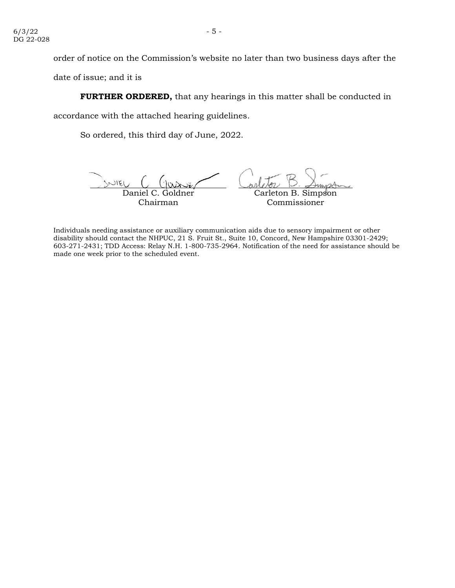order of notice on the Commission's website no later than two business days after the

date of issue; and it is

**FURTHER ORDERED,** that any hearings in this matter shall be conducted in

accordance with the attached hearing guidelines.

So ordered, this third day of June, 2022.

NIEI Daniel C. Goldner Carleton B. Simpson Chairman Commissioner

Individuals needing assistance or auxiliary communication aids due to sensory impairment or other disability should contact the NHPUC, 21 S. Fruit St., Suite 10, Concord, New Hampshire 03301-2429; 603-271-2431; TDD Access: Relay N.H. 1-800-735-2964. Notification of the need for assistance should be made one week prior to the scheduled event.